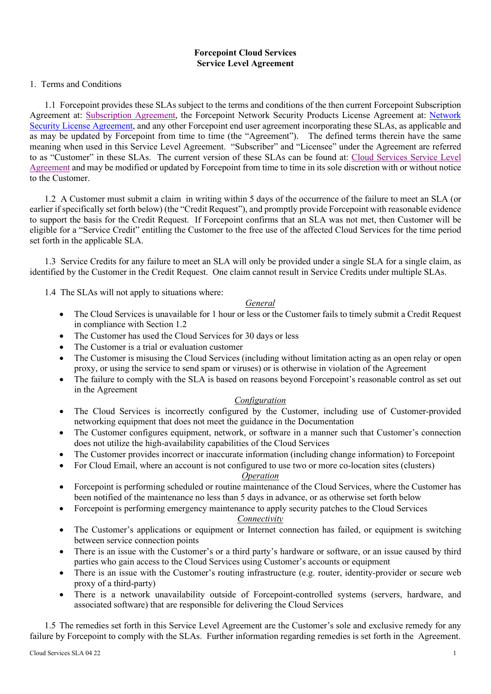## **Forcepoint Cloud Services Service Level Agreement**

### 1.Terms and Conditions

1.1 Forcepoint provides these SLAs subject to the terms and conditions of the then current Forcepoint Subscription Agreement at: [Subscription Agreement,](https://www.forcepoint.com/resources/legal/subscription-agreement) the Forcepoint Network Security Products License Agreement at: [Network](https://www.forcepoint.com/resources/legal/network-security-eula)  [Security License Agreement,](https://www.forcepoint.com/resources/legal/network-security-eula) and any other Forcepoint end user agreement incorporating these SLAs, as applicable and as may be updated by Forcepoint from time to time (the "Agreement"). The defined terms therein have the same meaning when used in this Service Level Agreement. "Subscriber" and "Licensee" under the Agreement are referred to as "Customer" in these SLAs. The current version of these SLAs can be found at: [Cloud Services Service Level](https://www.forcepoint.com/resources/legal/cloud-saas-service-level-agreement)  [Agreement](https://www.forcepoint.com/resources/legal/cloud-saas-service-level-agreement) and may be modified or updated by Forcepoint from time to time in its sole discretion with or without notice to the Customer.

1.2 A Customer must submit a claim in writing within 5 days of the occurrence of the failure to meet an SLA (or earlier if specifically set forth below) (the "Credit Request"), and promptly provide Forcepoint with reasonable evidence to support the basis for the Credit Request. If Forcepoint confirms that an SLA was not met, then Customer will be eligible for a "Service Credit" entitling the Customer to the free use of the affected Cloud Services for the time period set forth in the applicable SLA.

1.3 Service Credits for any failure to meet an SLA will only be provided under a single SLA for a single claim, as identified by the Customer in the Credit Request. One claim cannot result in Service Credits under multiple SLAs.

1.4 The SLAs will not apply to situations where:

#### *General*

- The Cloud Services is unavailable for 1 hour or less or the Customer fails to timely submit a Credit Request in compliance with Section 1.2
- The Customer has used the Cloud Services for 30 days or less
- The Customer is a trial or evaluation customer
- The Customer is misusing the Cloud Services (including without limitation acting as an open relay or open proxy, or using the service to send spam or viruses) or is otherwise in violation of the Agreement
- The failure to comply with the SLA is based on reasons beyond Forcepoint's reasonable control as set out in the Agreement

### *Configuration*

- The Cloud Services is incorrectly configured by the Customer, including use of Customer-provided networking equipment that does not meet the guidance in the Documentation
- The Customer configures equipment, network, or software in a manner such that Customer's connection does not utilize the high-availability capabilities of the Cloud Services
- The Customer provides incorrect or inaccurate information (including change information) to Forcepoint
- For Cloud Email, where an account is not configured to use two or more co-location sites (clusters)

### *Operation*

- Forcepoint is performing scheduled or routine maintenance of the Cloud Services, where the Customer has been notified of the maintenance no less than 5 days in advance, or as otherwise set forth below
- Forcepoint is performing emergency maintenance to apply security patches to the Cloud Services

# *Connectivity*

- The Customer's applications or equipment or Internet connection has failed, or equipment is switching between service connection points
- There is an issue with the Customer's or a third party's hardware or software, or an issue caused by third parties who gain access to the Cloud Services using Customer's accounts or equipment
- There is an issue with the Customer's routing infrastructure (e.g. router, identity-provider or secure web proxy of a third-party)
- There is a network unavailability outside of Forcepoint-controlled systems (servers, hardware, and associated software) that are responsible for delivering the Cloud Services

1.5 The remedies set forth in this Service Level Agreement are the Customer's sole and exclusive remedy for any failure by Forcepoint to comply with the SLAs. Further information regarding remedies is set forth in the Agreement.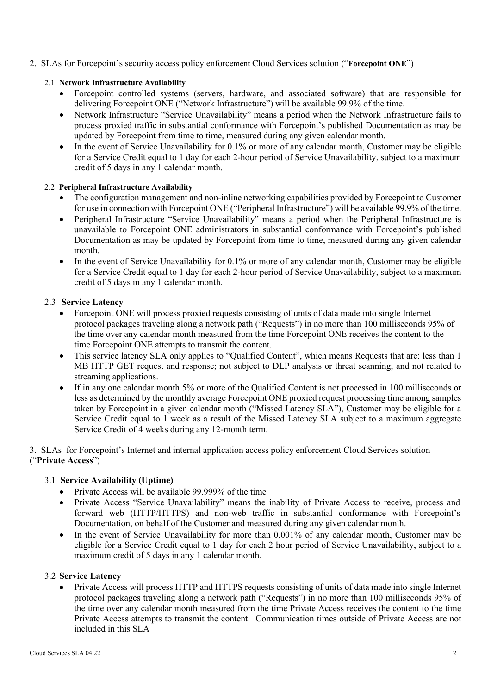## 2. SLAs for Forcepoint's security access policy enforcement Cloud Services solution ("**Forcepoint ONE**")

### 2.1 **Network Infrastructure Availability**

- Forcepoint controlled systems (servers, hardware, and associated software) that are responsible for delivering Forcepoint ONE ("Network Infrastructure") will be available 99.9% of the time.
- Network Infrastructure "Service Unavailability" means a period when the Network Infrastructure fails to process proxied traffic in substantial conformance with Forcepoint's published Documentation as may be updated by Forcepoint from time to time, measured during any given calendar month.
- In the event of Service Unavailability for 0.1% or more of any calendar month, Customer may be eligible for a Service Credit equal to 1 day for each 2-hour period of Service Unavailability, subject to a maximum credit of 5 days in any 1 calendar month.

### 2.2 **Peripheral Infrastructure Availability**

- The configuration management and non-inline networking capabilities provided by Forcepoint to Customer for use in connection with Forcepoint ONE ("Peripheral Infrastructure") will be available 99.9% of the time.
- Peripheral Infrastructure "Service Unavailability" means a period when the Peripheral Infrastructure is unavailable to Forcepoint ONE administrators in substantial conformance with Forcepoint's published Documentation as may be updated by Forcepoint from time to time, measured during any given calendar month.
- In the event of Service Unavailability for 0.1% or more of any calendar month, Customer may be eligible for a Service Credit equal to 1 day for each 2-hour period of Service Unavailability, subject to a maximum credit of 5 days in any 1 calendar month.

## 2.3 **Service Latency**

- Forcepoint ONE will process proxied requests consisting of units of data made into single Internet protocol packages traveling along a network path ("Requests") in no more than 100 milliseconds 95% of the time over any calendar month measured from the time Forcepoint ONE receives the content to the time Forcepoint ONE attempts to transmit the content.
- This service latency SLA only applies to "Qualified Content", which means Requests that are: less than 1 MB HTTP GET request and response; not subject to DLP analysis or threat scanning; and not related to streaming applications.
- If in any one calendar month 5% or more of the Qualified Content is not processed in 100 milliseconds or less as determined by the monthly average Forcepoint ONE proxied request processing time among samples taken by Forcepoint in a given calendar month ("Missed Latency SLA"), Customer may be eligible for a Service Credit equal to 1 week as a result of the Missed Latency SLA subject to a maximum aggregate Service Credit of 4 weeks during any 12-month term.

3. SLAs for Forcepoint's Internet and internal application access policy enforcement Cloud Services solution ("**Private Access**")

## 3.1 **Service Availability (Uptime)**

- Private Access will be available 99.999% of the time
- Private Access "Service Unavailability" means the inability of Private Access to receive, process and forward web (HTTP/HTTPS) and non-web traffic in substantial conformance with Forcepoint's Documentation, on behalf of the Customer and measured during any given calendar month.
- In the event of Service Unavailability for more than 0.001% of any calendar month, Customer may be eligible for a Service Credit equal to 1 day for each 2 hour period of Service Unavailability, subject to a maximum credit of 5 days in any 1 calendar month.

### 3.2 **Service Latency**

• Private Access will process HTTP and HTTPS requests consisting of units of data made into single Internet protocol packages traveling along a network path ("Requests") in no more than 100 milliseconds 95% of the time over any calendar month measured from the time Private Access receives the content to the time Private Access attempts to transmit the content. Communication times outside of Private Access are not included in this SLA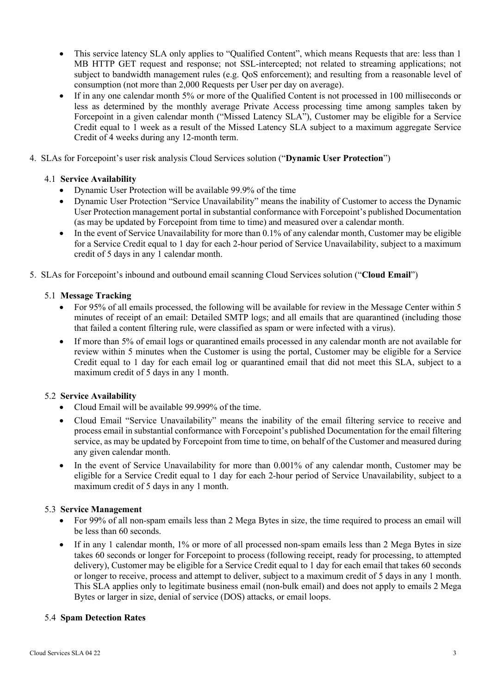- This service latency SLA only applies to "Qualified Content", which means Requests that are: less than 1 MB HTTP GET request and response; not SSL-intercepted; not related to streaming applications; not subject to bandwidth management rules (e.g. QoS enforcement); and resulting from a reasonable level of consumption (not more than 2,000 Requests per User per day on average).
- If in any one calendar month 5% or more of the Qualified Content is not processed in 100 milliseconds or less as determined by the monthly average Private Access processing time among samples taken by Forcepoint in a given calendar month ("Missed Latency SLA"), Customer may be eligible for a Service Credit equal to 1 week as a result of the Missed Latency SLA subject to a maximum aggregate Service Credit of 4 weeks during any 12-month term.
- 4. SLAs for Forcepoint's user risk analysis Cloud Services solution ("**Dynamic User Protection**")

## 4.1 **Service Availability**

- Dynamic User Protection will be available 99.9% of the time
- Dynamic User Protection "Service Unavailability" means the inability of Customer to access the Dynamic User Protection management portal in substantial conformance with Forcepoint's published Documentation (as may be updated by Forcepoint from time to time) and measured over a calendar month.
- In the event of Service Unavailability for more than 0.1% of any calendar month, Customer may be eligible for a Service Credit equal to 1 day for each 2-hour period of Service Unavailability, subject to a maximum credit of 5 days in any 1 calendar month.
- 5. SLAs for Forcepoint's inbound and outbound email scanning Cloud Services solution ("**Cloud Email**")

## 5.1 **Message Tracking**

- For 95% of all emails processed, the following will be available for review in the Message Center within 5 minutes of receipt of an email: Detailed SMTP logs; and all emails that are quarantined (including those that failed a content filtering rule, were classified as spam or were infected with a virus).
- If more than 5% of email logs or quarantined emails processed in any calendar month are not available for review within 5 minutes when the Customer is using the portal, Customer may be eligible for a Service Credit equal to 1 day for each email log or quarantined email that did not meet this SLA, subject to a maximum credit of 5 days in any 1 month.

## 5.2 **Service Availability**

- Cloud Email will be available 99.999% of the time.
- Cloud Email "Service Unavailability" means the inability of the email filtering service to receive and process email in substantial conformance with Forcepoint's published Documentation for the email filtering service, as may be updated by Forcepoint from time to time, on behalf of the Customer and measured during any given calendar month.
- In the event of Service Unavailability for more than 0.001% of any calendar month, Customer may be eligible for a Service Credit equal to 1 day for each 2-hour period of Service Unavailability, subject to a maximum credit of 5 days in any 1 month.

### 5.3 **Service Management**

- For 99% of all non-spam emails less than 2 Mega Bytes in size, the time required to process an email will be less than 60 seconds.
- If in any 1 calendar month, 1% or more of all processed non-spam emails less than 2 Mega Bytes in size takes 60 seconds or longer for Forcepoint to process (following receipt, ready for processing, to attempted delivery), Customer may be eligible for a Service Credit equal to 1 day for each email that takes 60 seconds or longer to receive, process and attempt to deliver, subject to a maximum credit of 5 days in any 1 month. This SLA applies only to legitimate business email (non-bulk email) and does not apply to emails 2 Mega Bytes or larger in size, denial of service (DOS) attacks, or email loops.

### 5.4 **Spam Detection Rates**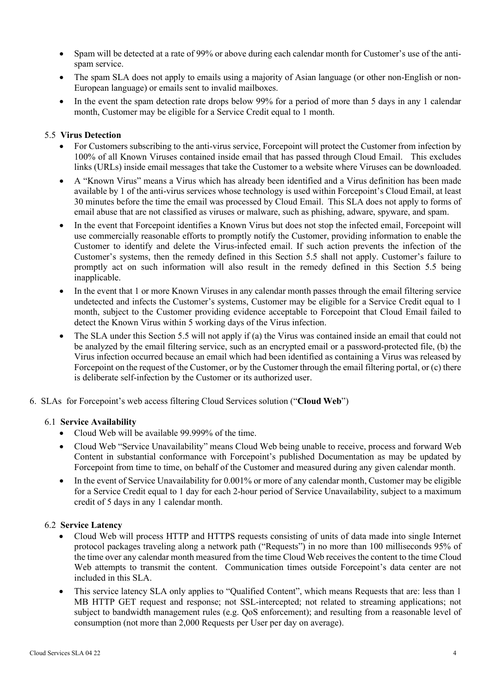- Spam will be detected at a rate of 99% or above during each calendar month for Customer's use of the antispam service.
- The spam SLA does not apply to emails using a majority of Asian language (or other non-English or non-European language) or emails sent to invalid mailboxes.
- In the event the spam detection rate drops below 99% for a period of more than 5 days in any 1 calendar month, Customer may be eligible for a Service Credit equal to 1 month.

### 5.5 **Virus Detection**

- For Customers subscribing to the anti-virus service, Forcepoint will protect the Customer from infection by 100% of all Known Viruses contained inside email that has passed through Cloud Email. This excludes links (URLs) inside email messages that take the Customer to a website where Viruses can be downloaded.
- A "Known Virus" means a Virus which has already been identified and a Virus definition has been made available by 1 of the anti-virus services whose technology is used within Forcepoint's Cloud Email, at least 30 minutes before the time the email was processed by Cloud Email. This SLA does not apply to forms of email abuse that are not classified as viruses or malware, such as phishing, adware, spyware, and spam.
- In the event that Forcepoint identifies a Known Virus but does not stop the infected email, Forcepoint will use commercially reasonable efforts to promptly notify the Customer, providing information to enable the Customer to identify and delete the Virus-infected email. If such action prevents the infection of the Customer's systems, then the remedy defined in this Section 5.5 shall not apply. Customer's failure to promptly act on such information will also result in the remedy defined in this Section 5.5 being inapplicable.
- In the event that 1 or more Known Viruses in any calendar month passes through the email filtering service undetected and infects the Customer's systems, Customer may be eligible for a Service Credit equal to 1 month, subject to the Customer providing evidence acceptable to Forcepoint that Cloud Email failed to detect the Known Virus within 5 working days of the Virus infection.
- The SLA under this Section 5.5 will not apply if (a) the Virus was contained inside an email that could not be analyzed by the email filtering service, such as an encrypted email or a password-protected file, (b) the Virus infection occurred because an email which had been identified as containing a Virus was released by Forcepoint on the request of the Customer, or by the Customer through the email filtering portal, or (c) there is deliberate self-infection by the Customer or its authorized user.
- 6. SLAs for Forcepoint's web access filtering Cloud Services solution ("**Cloud Web**")

### 6.1 **Service Availability**

- Cloud Web will be available 99.999% of the time.
- Cloud Web "Service Unavailability" means Cloud Web being unable to receive, process and forward Web Content in substantial conformance with Forcepoint's published Documentation as may be updated by Forcepoint from time to time, on behalf of the Customer and measured during any given calendar month.
- In the event of Service Unavailability for 0.001% or more of any calendar month, Customer may be eligible for a Service Credit equal to 1 day for each 2-hour period of Service Unavailability, subject to a maximum credit of 5 days in any 1 calendar month.

### 6.2 **Service Latency**

- Cloud Web will process HTTP and HTTPS requests consisting of units of data made into single Internet protocol packages traveling along a network path ("Requests") in no more than 100 milliseconds 95% of the time over any calendar month measured from the time Cloud Web receives the content to the time Cloud Web attempts to transmit the content. Communication times outside Forcepoint's data center are not included in this SLA.
- This service latency SLA only applies to "Qualified Content", which means Requests that are: less than 1 MB HTTP GET request and response; not SSL-intercepted; not related to streaming applications; not subject to bandwidth management rules (e.g. QoS enforcement); and resulting from a reasonable level of consumption (not more than 2,000 Requests per User per day on average).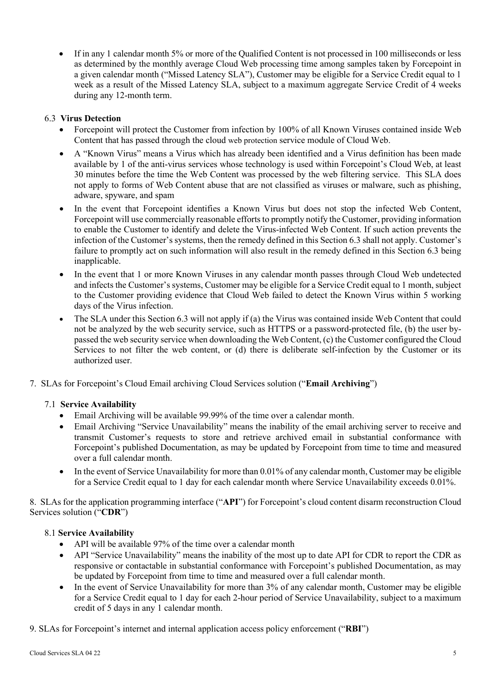• If in any 1 calendar month 5% or more of the Qualified Content is not processed in 100 milliseconds or less as determined by the monthly average Cloud Web processing time among samples taken by Forcepoint in a given calendar month ("Missed Latency SLA"), Customer may be eligible for a Service Credit equal to 1 week as a result of the Missed Latency SLA, subject to a maximum aggregate Service Credit of 4 weeks during any 12-month term.

# 6.3 **Virus Detection**

- Forcepoint will protect the Customer from infection by 100% of all Known Viruses contained inside Web Content that has passed through the cloud web protection service module of Cloud Web.
- A "Known Virus" means a Virus which has already been identified and a Virus definition has been made available by 1 of the anti-virus services whose technology is used within Forcepoint's Cloud Web, at least 30 minutes before the time the Web Content was processed by the web filtering service. This SLA does not apply to forms of Web Content abuse that are not classified as viruses or malware, such as phishing, adware, spyware, and spam
- In the event that Forcepoint identifies a Known Virus but does not stop the infected Web Content, Forcepoint will use commercially reasonable efforts to promptly notify the Customer, providing information to enable the Customer to identify and delete the Virus-infected Web Content. If such action prevents the infection of the Customer's systems, then the remedy defined in this Section 6.3 shall not apply. Customer's failure to promptly act on such information will also result in the remedy defined in this Section 6.3 being inapplicable.
- In the event that 1 or more Known Viruses in any calendar month passes through Cloud Web undetected and infects the Customer's systems, Customer may be eligible for a Service Credit equal to 1 month, subject to the Customer providing evidence that Cloud Web failed to detect the Known Virus within 5 working days of the Virus infection.
- The SLA under this Section 6.3 will not apply if (a) the Virus was contained inside Web Content that could not be analyzed by the web security service, such as HTTPS or a password-protected file, (b) the user bypassed the web security service when downloading the Web Content, (c) the Customer configured the Cloud Services to not filter the web content, or (d) there is deliberate self-infection by the Customer or its authorized user.
- 7. SLAs for Forcepoint's Cloud Email archiving Cloud Services solution ("**Email Archiving**")

## 7.1 **Service Availability**

- Email Archiving will be available 99.99% of the time over a calendar month.
- Email Archiving "Service Unavailability" means the inability of the email archiving server to receive and transmit Customer's requests to store and retrieve archived email in substantial conformance with Forcepoint's published Documentation, as may be updated by Forcepoint from time to time and measured over a full calendar month.
- In the event of Service Unavailability for more than 0.01% of any calendar month, Customer may be eligible for a Service Credit equal to 1 day for each calendar month where Service Unavailability exceeds 0.01%.

8. SLAs for the application programming interface ("**API**") for Forcepoint's cloud content disarm reconstruction Cloud Services solution ("**CDR**")

## 8.1 **Service Availability**

- API will be available 97% of the time over a calendar month
- API "Service Unavailability" means the inability of the most up to date API for CDR to report the CDR as responsive or contactable in substantial conformance with Forcepoint's published Documentation, as may be updated by Forcepoint from time to time and measured over a full calendar month.
- In the event of Service Unavailability for more than 3% of any calendar month, Customer may be eligible for a Service Credit equal to 1 day for each 2-hour period of Service Unavailability, subject to a maximum credit of 5 days in any 1 calendar month.

9. SLAs for Forcepoint's internet and internal application access policy enforcement ("**RBI**")